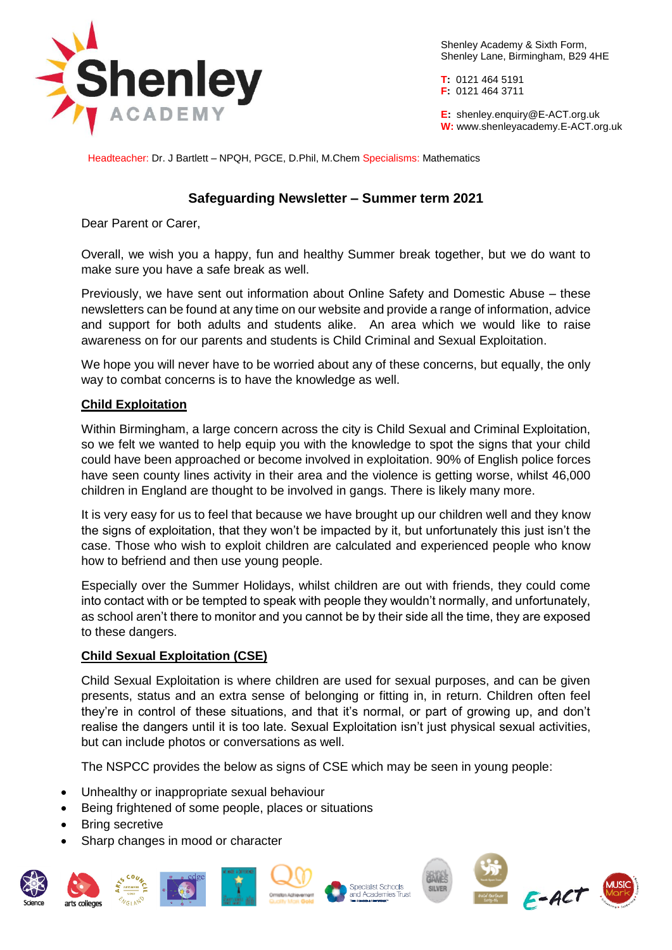

Shenley Academy & Sixth Form, Shenley Lane, Birmingham, B29 4HE

**T:** 0121 464 5191 **F:** 0121 464 3711

**E:** shenley[.enquiry@E-ACT.org.uk](mailto:enquiry@E-ACT.org.uk) **W:** www.shenleyacademy.E-ACT.org.uk

Headteacher: Dr. J Bartlett – NPQH, PGCE, D.Phil, M.Chem Specialisms: Mathematics

## **Safeguarding Newsletter – Summer term 2021**

Dear Parent or Carer,

Overall, we wish you a happy, fun and healthy Summer break together, but we do want to make sure you have a safe break as well.

Previously, we have sent out information about Online Safety and Domestic Abuse – these newsletters can be found at any time on our website and provide a range of information, advice and support for both adults and students alike. An area which we would like to raise awareness on for our parents and students is Child Criminal and Sexual Exploitation.

We hope you will never have to be worried about any of these concerns, but equally, the only way to combat concerns is to have the knowledge as well.

## **Child Exploitation**

Within Birmingham, a large concern across the city is Child Sexual and Criminal Exploitation, so we felt we wanted to help equip you with the knowledge to spot the signs that your child could have been approached or become involved in exploitation. 90% of English police forces have seen county lines activity in their area and the violence is getting worse, whilst 46,000 children in England are thought to be involved in gangs. There is likely many more.

It is very easy for us to feel that because we have brought up our children well and they know the signs of exploitation, that they won't be impacted by it, but unfortunately this just isn't the case. Those who wish to exploit children are calculated and experienced people who know how to befriend and then use young people.

Especially over the Summer Holidays, whilst children are out with friends, they could come into contact with or be tempted to speak with people they wouldn't normally, and unfortunately, as school aren't there to monitor and you cannot be by their side all the time, they are exposed to these dangers.

## **Child Sexual Exploitation (CSE)**

Child Sexual Exploitation is where children are used for sexual purposes, and can be given presents, status and an extra sense of belonging or fitting in, in return. Children often feel they're in control of these situations, and that it's normal, or part of growing up, and don't realise the dangers until it is too late. Sexual Exploitation isn't just physical sexual activities, but can include photos or conversations as well.

The NSPCC provides the below as signs of CSE which may be seen in young people:

- Unhealthy or inappropriate sexual behaviour
- Being frightened of some people, places or situations
- Bring secretive
- Sharp changes in mood or character